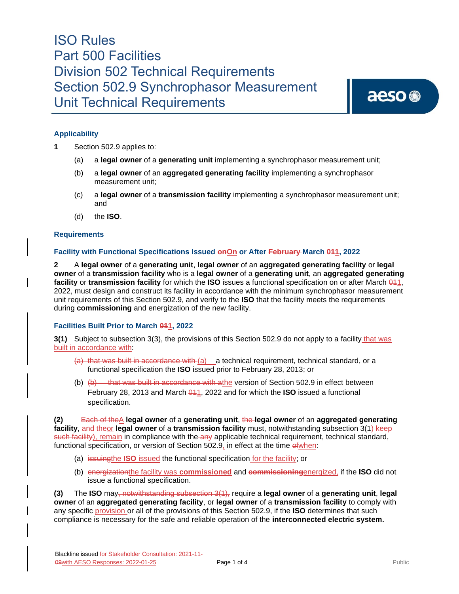aeso<sup>®</sup>

### **Applicability**

- **1** Section 502.9 applies to:
	- (a) a **legal owner** of a **generating unit** implementing a synchrophasor measurement unit;
	- (b) a **legal owner** of an **aggregated generating facility** implementing a synchrophasor measurement unit;
	- (c) a **legal owner** of a **transmission facility** implementing a synchrophasor measurement unit; and
	- (d) the **ISO**.

#### **Requirements**

#### **Facility with Functional Specifications Issued onOn or After February March 011, 2022**

**2** A **legal owner** of a **generating unit**, **legal owner** of an **aggregated generating facility** or **legal owner** of a **transmission facility** who is a **legal owner** of a **generating unit**, an **aggregated generating facility** or **transmission facility** for which the **ISO** issues a functional specification on or after March  $\frac{041}{1}$ 2022, must design and construct its facility in accordance with the minimum synchrophasor measurement unit requirements of this Section 502.9, and verify to the **ISO** that the facility meets the requirements during **commissioning** and energization of the new facility.

#### **Facilities Built Prior to March 011, 2022**

**3(1)** Subject to subsection 3(3), the provisions of this Section 502.9 do not apply to a facility that was built in accordance with:

- $(a)$  that was built in accordance with  $(a)$  a technical requirement, technical standard, or a functional specification the **ISO** issued prior to February 28, 2013; or
- (b)  $(b)$  that was built in accordance with athe version of Section 502.9 in effect between February 28, 2013 and March 041, 2022 and for which the **ISO** issued a functional specification.

**(2)** Each of theA **legal owner** of a **generating unit**, the **legal owner** of an **aggregated generating facility**, and theor **legal owner** of a **transmission facility** must, notwithstanding subsection 3(1) keep such facility), remain in compliance with the any applicable technical requirement, technical standard, functional specification, or version of Section 502.9, in effect at the time of when:

- (a) issuingthe **ISO** issued the functional specification for the facility; or
- (b) energizationthe facility was **commissioned** and **commissioning**energized, if the **ISO** did not issue a functional specification.

**(3)** The **ISO** may, notwithstanding subsection 3(1), require a **legal owner** of a **generating unit**, **legal owner** of an **aggregated generating facility**, or **legal owner** of a **transmission facility** to comply with any specific provision or all of the provisions of this Section 502.9, if the **ISO** determines that such compliance is necessary for the safe and reliable operation of the **interconnected electric system.**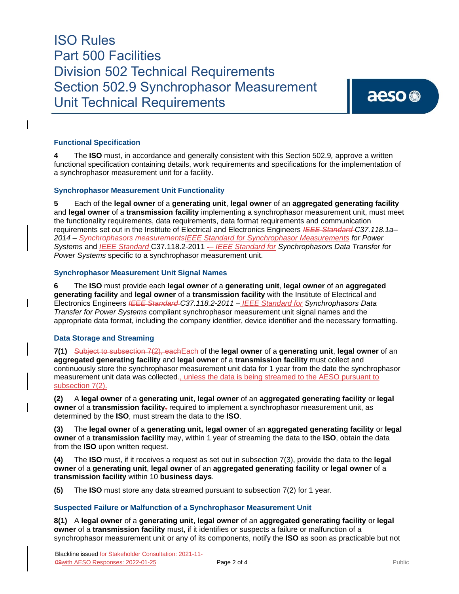## **Functional Specification**

**4** The **ISO** must, in accordance and generally consistent with this Section 502.9*,* approve a written functional specification containing details, work requirements and specifications for the implementation of a synchrophasor measurement unit for a facility.

#### **Synchrophasor Measurement Unit Functionality**

**5** Each of the **legal owner** of a **generating unit**, **legal owner** of an **aggregated generating facility** and **legal owner** of a **transmission facility** implementing a synchrophasor measurement unit, must meet the functionality requirements, data requirements, data format requirements and communication requirements set out in the Institute of Electrical and Electronics Engineers *IEEE Standard C37.118.1a– 2014 – Synchrophasors measurementsIEEE Standard for Synchrophasor Measurements for Power Systems* and *IEEE Standard* C37.118.2-2011 - *IEEE Standard for Synchrophasors Data Transfer for Power Systems* specific to a synchrophasor measurement unit.

#### **Synchrophasor Measurement Unit Signal Names**

**6** The **ISO** must provide each **legal owner** of a **generating unit**, **legal owner** of an **aggregated generating facility** and **legal owner** of a **transmission facility** with the Institute of Electrical and Electronics Engineers *IEEE Standard C37.118.2-2011 – IEEE Standard for Synchrophasors Data Transfer for Power Systems* compliant synchrophasor measurement unit signal names and the appropriate data format, including the company identifier, device identifier and the necessary formatting.

#### **Data Storage and Streaming**

**7(1)** Subject to subsection 7(2), eachEach of the **legal owner** of a **generating unit**, **legal owner** of an **aggregated generating facility** and **legal owner** of a **transmission facility** must collect and continuously store the synchrophasor measurement unit data for 1 year from the date the synchrophasor measurement unit data was collected., unless the data is being streamed to the AESO pursuant to subsection 7(2).

**(2)** A **legal owner** of a **generating unit**, **legal owner** of an **aggregated generating facility** or **legal owner** of a **transmission facility**<sub> $\tau$ </sub> required to implement a synchrophasor measurement unit, as determined by the **ISO**, must stream the data to the **ISO**.

**(3)** The **legal owner** of a **generating unit, legal owner** of an **aggregated generating facility** or **legal owner** of a **transmission facility** may, within 1 year of streaming the data to the **ISO**, obtain the data from the **ISO** upon written request.

**(4)** The **ISO** must, if it receives a request as set out in subsection 7(3), provide the data to the **legal owner** of a **generating unit**, **legal owner** of an **aggregated generating facility** or **legal owner** of a **transmission facility** within 10 **business days**.

**(5)** The **ISO** must store any data streamed pursuant to subsection 7(2) for 1 year.

#### **Suspected Failure or Malfunction of a Synchrophasor Measurement Unit**

**8(1)** A **legal owner** of a **generating unit**, **legal owner** of an **aggregated generating facility** or **legal owner** of a **transmission facility** must, if it identifies or suspects a failure or malfunction of a synchrophasor measurement unit or any of its components, notify the **ISO** as soon as practicable but not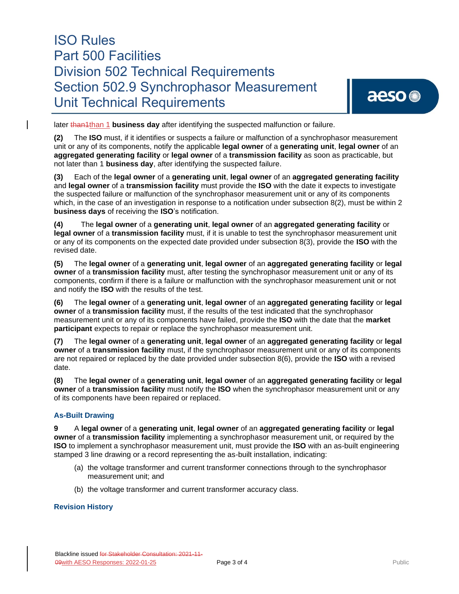later than<sup>1</sup>than 1 **business day** after identifying the suspected malfunction or failure.

**(2)** The **ISO** must, if it identifies or suspects a failure or malfunction of a synchrophasor measurement unit or any of its components, notify the applicable **legal owner** of a **generating unit**, **legal owner** of an **aggregated generating facility** or **legal owner** of a **transmission facility** as soon as practicable, but not later than 1 **business day**, after identifying the suspected failure.

**(3)** Each of the **legal owner** of a **generating unit**, **legal owner** of an **aggregated generating facility** and **legal owner** of a **transmission facility** must provide the **ISO** with the date it expects to investigate the suspected failure or malfunction of the synchrophasor measurement unit or any of its components which, in the case of an investigation in response to a notification under subsection 8(2), must be within 2 **business days** of receiving the **ISO**'s notification.

**(4)** The **legal owner** of a **generating unit**, **legal owner** of an **aggregated generating facility** or **legal owner** of a **transmission facility** must, if it is unable to test the synchrophasor measurement unit or any of its components on the expected date provided under subsection 8(3), provide the **ISO** with the revised date.

**(5)** The **legal owner** of a **generating unit**, **legal owner** of an **aggregated generating facility** or **legal owner** of a **transmission facility** must, after testing the synchrophasor measurement unit or any of its components, confirm if there is a failure or malfunction with the synchrophasor measurement unit or not and notify the **ISO** with the results of the test.

**(6)** The **legal owner** of a **generating unit**, **legal owner** of an **aggregated generating facility** or **legal owner** of a **transmission facility** must, if the results of the test indicated that the synchrophasor measurement unit or any of its components have failed, provide the **ISO** with the date that the **market participant** expects to repair or replace the synchrophasor measurement unit.

**(7)** The **legal owner** of a **generating unit**, **legal owner** of an **aggregated generating facility** or **legal owner** of a **transmission facility** must, if the synchrophasor measurement unit or any of its components are not repaired or replaced by the date provided under subsection 8(6), provide the **ISO** with a revised date.

**(8)** The **legal owner** of a **generating unit**, **legal owner** of an **aggregated generating facility** or **legal owner** of a **transmission facility** must notify the **ISO** when the synchrophasor measurement unit or any of its components have been repaired or replaced.

### **As-Built Drawing**

**9** A **legal owner** of a **generating unit**, **legal owner** of an **aggregated generating facility** or **legal owner** of a **transmission facility** implementing a synchrophasor measurement unit, or required by the **ISO** to implement a synchrophasor measurement unit, must provide the **ISO** with an as-built engineering stamped 3 line drawing or a record representing the as-built installation, indicating:

- (a) the voltage transformer and current transformer connections through to the synchrophasor measurement unit; and
- (b) the voltage transformer and current transformer accuracy class.

### **Revision History**